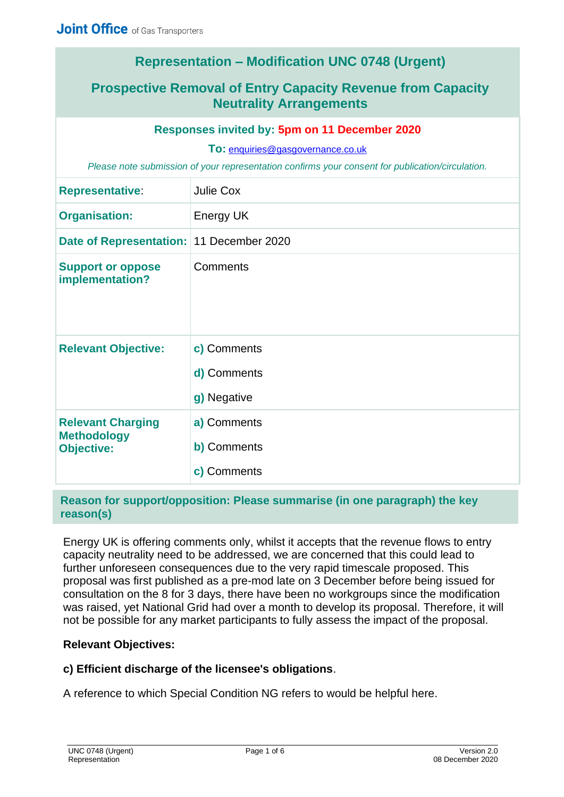# **Representation – Modification UNC 0748 (Urgent)**

# **Prospective Removal of Entry Capacity Revenue from Capacity Neutrality Arrangements**

#### **Responses invited by: 5pm on 11 December 2020**

**To:** [enquiries@gasgovernance.co.uk](mailto:enquiries@gasgovernance.co.uk)

*Please note submission of your representation confirms your consent for publication/circulation.*

| <b>Representative:</b>                                              | Julie Cox                                 |
|---------------------------------------------------------------------|-------------------------------------------|
| <b>Organisation:</b>                                                | <b>Energy UK</b>                          |
| Date of Representation: 11 December 2020                            |                                           |
| <b>Support or oppose</b><br>implementation?                         | Comments                                  |
| <b>Relevant Objective:</b>                                          | c) Comments<br>d) Comments<br>g) Negative |
| <b>Relevant Charging</b><br><b>Methodology</b><br><b>Objective:</b> | a) Comments<br>b) Comments<br>c) Comments |

#### **Reason for support/opposition: Please summarise (in one paragraph) the key reason(s)**

Energy UK is offering comments only, whilst it accepts that the revenue flows to entry capacity neutrality need to be addressed, we are concerned that this could lead to further unforeseen consequences due to the very rapid timescale proposed. This proposal was first published as a pre-mod late on 3 December before being issued for consultation on the 8 for 3 days, there have been no workgroups since the modification was raised, yet National Grid had over a month to develop its proposal. Therefore, it will not be possible for any market participants to fully assess the impact of the proposal.

#### **Relevant Objectives:**

#### **c) Efficient discharge of the licensee's obligations**.

A reference to which Special Condition NG refers to would be helpful here.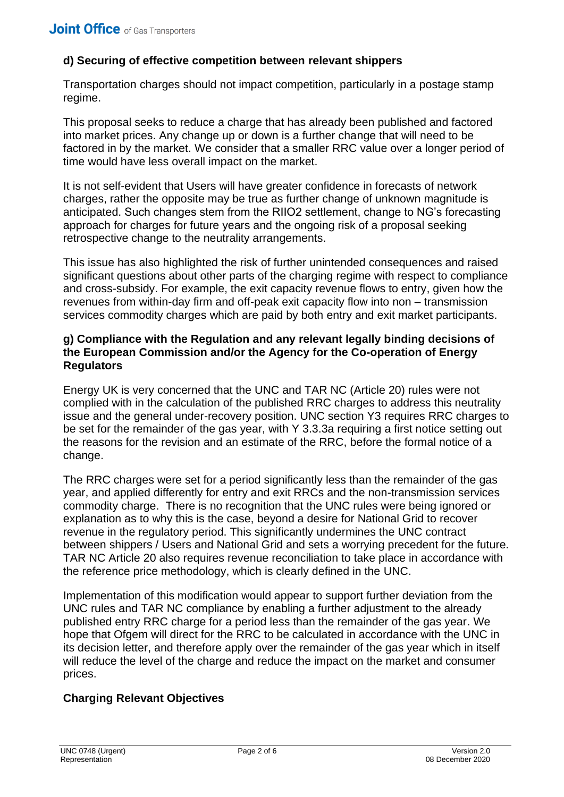# **d) Securing of effective competition between relevant shippers**

Transportation charges should not impact competition, particularly in a postage stamp regime.

This proposal seeks to reduce a charge that has already been published and factored into market prices. Any change up or down is a further change that will need to be factored in by the market. We consider that a smaller RRC value over a longer period of time would have less overall impact on the market.

It is not self-evident that Users will have greater confidence in forecasts of network charges, rather the opposite may be true as further change of unknown magnitude is anticipated. Such changes stem from the RIIO2 settlement, change to NG's forecasting approach for charges for future years and the ongoing risk of a proposal seeking retrospective change to the neutrality arrangements.

This issue has also highlighted the risk of further unintended consequences and raised significant questions about other parts of the charging regime with respect to compliance and cross-subsidy. For example, the exit capacity revenue flows to entry, given how the revenues from within-day firm and off-peak exit capacity flow into non – transmission services commodity charges which are paid by both entry and exit market participants.

### **g) Compliance with the Regulation and any relevant legally binding decisions of the European Commission and/or the Agency for the Co-operation of Energy Regulators**

Energy UK is very concerned that the UNC and TAR NC (Article 20) rules were not complied with in the calculation of the published RRC charges to address this neutrality issue and the general under-recovery position. UNC section Y3 requires RRC charges to be set for the remainder of the gas year, with Y 3.3.3a requiring a first notice setting out the reasons for the revision and an estimate of the RRC, before the formal notice of a change.

The RRC charges were set for a period significantly less than the remainder of the gas year, and applied differently for entry and exit RRCs and the non-transmission services commodity charge. There is no recognition that the UNC rules were being ignored or explanation as to why this is the case, beyond a desire for National Grid to recover revenue in the regulatory period. This significantly undermines the UNC contract between shippers / Users and National Grid and sets a worrying precedent for the future. TAR NC Article 20 also requires revenue reconciliation to take place in accordance with the reference price methodology, which is clearly defined in the UNC.

Implementation of this modification would appear to support further deviation from the UNC rules and TAR NC compliance by enabling a further adjustment to the already published entry RRC charge for a period less than the remainder of the gas year. We hope that Ofgem will direct for the RRC to be calculated in accordance with the UNC in its decision letter, and therefore apply over the remainder of the gas year which in itself will reduce the level of the charge and reduce the impact on the market and consumer prices.

# **Charging Relevant Objectives**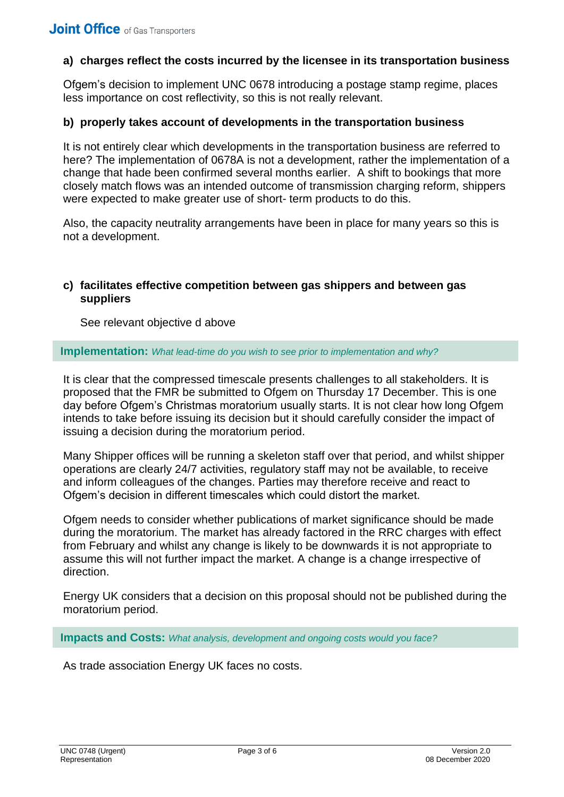## **a) charges reflect the costs incurred by the licensee in its transportation business**

Ofgem's decision to implement UNC 0678 introducing a postage stamp regime, places less importance on cost reflectivity, so this is not really relevant.

#### **b) properly takes account of developments in the transportation business**

It is not entirely clear which developments in the transportation business are referred to here? The implementation of 0678A is not a development, rather the implementation of a change that hade been confirmed several months earlier. A shift to bookings that more closely match flows was an intended outcome of transmission charging reform, shippers were expected to make greater use of short- term products to do this.

Also, the capacity neutrality arrangements have been in place for many years so this is not a development.

#### **c) facilitates effective competition between gas shippers and between gas suppliers**

See relevant objective d above

**Implementation:** *What lead-time do you wish to see prior to implementation and why?*

It is clear that the compressed timescale presents challenges to all stakeholders. It is proposed that the FMR be submitted to Ofgem on Thursday 17 December. This is one day before Ofgem's Christmas moratorium usually starts. It is not clear how long Ofgem intends to take before issuing its decision but it should carefully consider the impact of issuing a decision during the moratorium period.

Many Shipper offices will be running a skeleton staff over that period, and whilst shipper operations are clearly 24/7 activities, regulatory staff may not be available, to receive and inform colleagues of the changes. Parties may therefore receive and react to Ofgem's decision in different timescales which could distort the market.

Ofgem needs to consider whether publications of market significance should be made during the moratorium. The market has already factored in the RRC charges with effect from February and whilst any change is likely to be downwards it is not appropriate to assume this will not further impact the market. A change is a change irrespective of direction.

Energy UK considers that a decision on this proposal should not be published during the moratorium period.

**Impacts and Costs:** *What analysis, development and ongoing costs would you face?*

As trade association Energy UK faces no costs.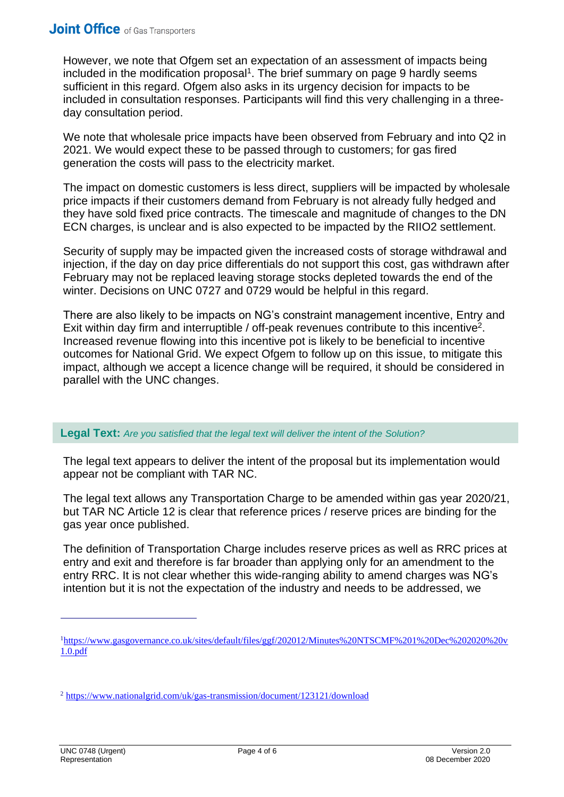However, we note that Ofgem set an expectation of an assessment of impacts being included in the modification proposal<sup>1</sup>. The brief summary on page 9 hardly seems sufficient in this regard. Ofgem also asks in its urgency decision for impacts to be included in consultation responses. Participants will find this very challenging in a threeday consultation period.

We note that wholesale price impacts have been observed from February and into Q2 in 2021. We would expect these to be passed through to customers; for gas fired generation the costs will pass to the electricity market.

The impact on domestic customers is less direct, suppliers will be impacted by wholesale price impacts if their customers demand from February is not already fully hedged and they have sold fixed price contracts. The timescale and magnitude of changes to the DN ECN charges, is unclear and is also expected to be impacted by the RIIO2 settlement.

Security of supply may be impacted given the increased costs of storage withdrawal and injection, if the day on day price differentials do not support this cost, gas withdrawn after February may not be replaced leaving storage stocks depleted towards the end of the winter. Decisions on UNC 0727 and 0729 would be helpful in this regard.

There are also likely to be impacts on NG's constraint management incentive, Entry and Exit within day firm and interruptible / off-peak revenues contribute to this incentive<sup>2</sup>. Increased revenue flowing into this incentive pot is likely to be beneficial to incentive outcomes for National Grid. We expect Ofgem to follow up on this issue, to mitigate this impact, although we accept a licence change will be required, it should be considered in parallel with the UNC changes.

**Legal Text:** *Are you satisfied that the legal text will deliver the intent of the Solution?*

The legal text appears to deliver the intent of the proposal but its implementation would appear not be compliant with TAR NC.

The legal text allows any Transportation Charge to be amended within gas year 2020/21, but TAR NC Article 12 is clear that reference prices / reserve prices are binding for the gas year once published.

The definition of Transportation Charge includes reserve prices as well as RRC prices at entry and exit and therefore is far broader than applying only for an amendment to the entry RRC. It is not clear whether this wide-ranging ability to amend charges was NG's intention but it is not the expectation of the industry and needs to be addressed, we

<sup>1</sup>[https://www.gasgovernance.co.uk/sites/default/files/ggf/202012/Minutes%20NTSCMF%201%20Dec%202020%20v](https://www.gasgovernance.co.uk/sites/default/files/ggf/202012/Minutes%20NTSCMF%201%20Dec%202020%20v1.0.pdf) [1.0.pdf](https://www.gasgovernance.co.uk/sites/default/files/ggf/202012/Minutes%20NTSCMF%201%20Dec%202020%20v1.0.pdf)

<sup>2</sup> <https://www.nationalgrid.com/uk/gas-transmission/document/123121/download>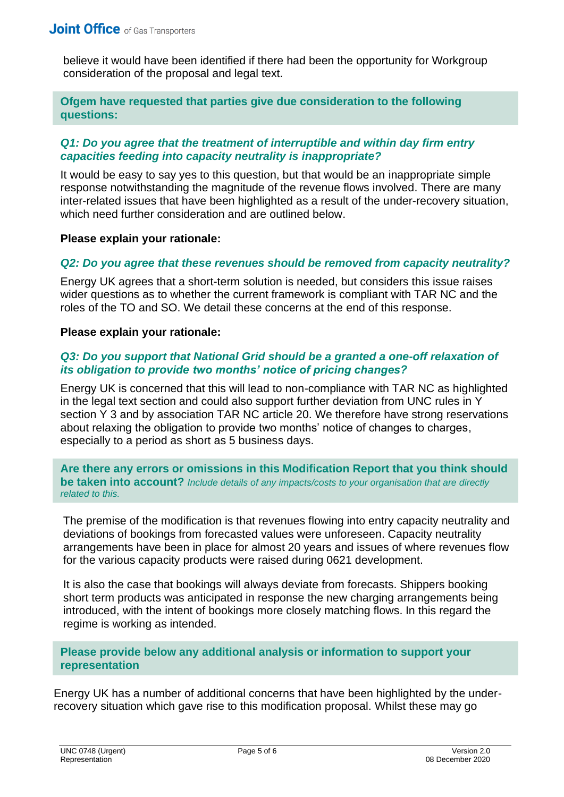believe it would have been identified if there had been the opportunity for Workgroup consideration of the proposal and legal text.

## **Ofgem have requested that parties give due consideration to the following questions:**

## *Q1: Do you agree that the treatment of interruptible and within day firm entry capacities feeding into capacity neutrality is inappropriate?*

It would be easy to say yes to this question, but that would be an inappropriate simple response notwithstanding the magnitude of the revenue flows involved. There are many inter-related issues that have been highlighted as a result of the under-recovery situation, which need further consideration and are outlined below.

#### **Please explain your rationale:**

#### *Q2: Do you agree that these revenues should be removed from capacity neutrality?*

Energy UK agrees that a short-term solution is needed, but considers this issue raises wider questions as to whether the current framework is compliant with TAR NC and the roles of the TO and SO. We detail these concerns at the end of this response.

#### **Please explain your rationale:**

#### **Q3: Do you support that National Grid should be a granted a one-off relaxation of** *its obligation to provide two months' notice of pricing changes?*

Energy UK is concerned that this will lead to non-compliance with TAR NC as highlighted in the legal text section and could also support further deviation from UNC rules in Y section Y 3 and by association TAR NC article 20. We therefore have strong reservations about relaxing the obligation to provide two months' notice of changes to charges, especially to a period as short as 5 business days.

**Are there any errors or omissions in this Modification Report that you think should be taken into account?** *Include details of any impacts/costs to your organisation that are directly related to this.*

The premise of the modification is that revenues flowing into entry capacity neutrality and deviations of bookings from forecasted values were unforeseen. Capacity neutrality arrangements have been in place for almost 20 years and issues of where revenues flow for the various capacity products were raised during 0621 development.

It is also the case that bookings will always deviate from forecasts. Shippers booking short term products was anticipated in response the new charging arrangements being introduced, with the intent of bookings more closely matching flows. In this regard the regime is working as intended.

## **Please provide below any additional analysis or information to support your representation**

Energy UK has a number of additional concerns that have been highlighted by the underrecovery situation which gave rise to this modification proposal. Whilst these may go